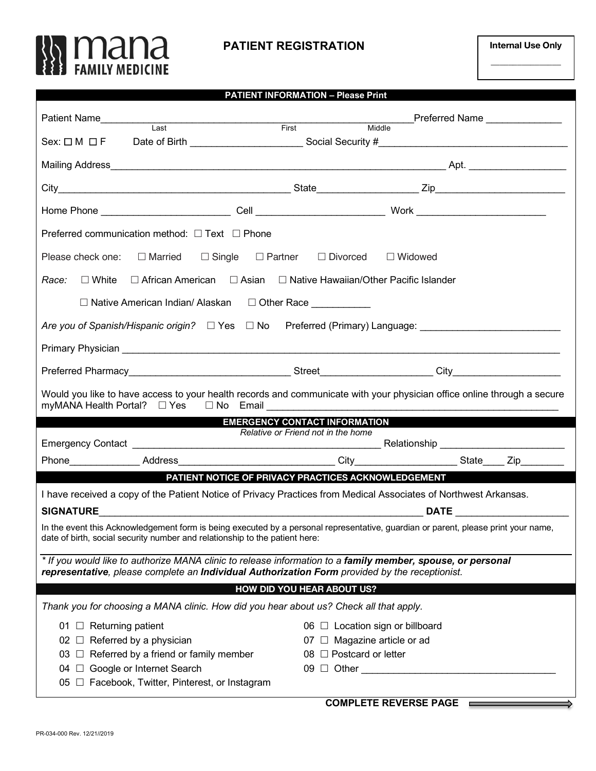

#### **PATIENT INFORMATION – Please Print**

| Patient Name                                                                                                                                                                                                      | First <b>First</b>                                  | Preferred Name<br>Middle     |  |  |  |
|-------------------------------------------------------------------------------------------------------------------------------------------------------------------------------------------------------------------|-----------------------------------------------------|------------------------------|--|--|--|
|                                                                                                                                                                                                                   |                                                     |                              |  |  |  |
|                                                                                                                                                                                                                   |                                                     |                              |  |  |  |
|                                                                                                                                                                                                                   |                                                     |                              |  |  |  |
|                                                                                                                                                                                                                   |                                                     |                              |  |  |  |
|                                                                                                                                                                                                                   |                                                     |                              |  |  |  |
| Preferred communication method: □ Text □ Phone                                                                                                                                                                    |                                                     |                              |  |  |  |
| Please check one: $\square$ Married $\square$ Single $\square$ Partner $\square$ Divorced $\square$ Widowed                                                                                                       |                                                     |                              |  |  |  |
| □ White □ African American □ Asian □ Native Hawaiian/Other Pacific Islander<br>Race:                                                                                                                              |                                                     |                              |  |  |  |
| □ Native American Indian/ Alaskan □ Other Race ___________                                                                                                                                                        |                                                     |                              |  |  |  |
| Are you of Spanish/Hispanic origin? □ Yes □ No Preferred (Primary) Language: ______________________                                                                                                               |                                                     |                              |  |  |  |
|                                                                                                                                                                                                                   |                                                     |                              |  |  |  |
|                                                                                                                                                                                                                   |                                                     |                              |  |  |  |
| Would you like to have access to your health records and communicate with your physician office online through a secure                                                                                           |                                                     |                              |  |  |  |
|                                                                                                                                                                                                                   | <b>EMERGENCY CONTACT INFORMATION</b>                |                              |  |  |  |
|                                                                                                                                                                                                                   | Relative or Friend not in the home                  |                              |  |  |  |
| Phone <b>Address</b> Address <b>City</b> City <b>State</b> Zip                                                                                                                                                    |                                                     |                              |  |  |  |
|                                                                                                                                                                                                                   | PATIENT NOTICE OF PRIVACY PRACTICES ACKNOWLEDGEMENT |                              |  |  |  |
| I have received a copy of the Patient Notice of Privacy Practices from Medical Associates of Northwest Arkansas.                                                                                                  |                                                     |                              |  |  |  |
| <b>SIGNATURE</b>                                                                                                                                                                                                  |                                                     | <b>DATE Example 20</b>       |  |  |  |
| In the event this Acknowledgement form is being executed by a personal representative, guardian or parent, please print your name,<br>date of birth, social security number and relationship to the patient here: |                                                     |                              |  |  |  |
| * If you would like to authorize MANA clinic to release information to a family member, spouse, or personal<br>representative, please complete an Individual Authorization Form provided by the receptionist.     |                                                     |                              |  |  |  |
|                                                                                                                                                                                                                   | <b>HOW DID YOU HEAR ABOUT US?</b>                   |                              |  |  |  |
| Thank you for choosing a MANA clinic. How did you hear about us? Check all that apply.                                                                                                                            |                                                     |                              |  |  |  |
| 01 $\Box$ Returning patient                                                                                                                                                                                       | 06 □ Location sign or billboard                     |                              |  |  |  |
| 02 $\Box$ Referred by a physician                                                                                                                                                                                 | 07 □ Magazine article or ad                         |                              |  |  |  |
| 03 $\Box$ Referred by a friend or family member                                                                                                                                                                   | 08 □ Postcard or letter                             |                              |  |  |  |
| 04 C Google or Internet Search                                                                                                                                                                                    |                                                     |                              |  |  |  |
| 05 □ Facebook, Twitter, Pinterest, or Instagram                                                                                                                                                                   |                                                     |                              |  |  |  |
|                                                                                                                                                                                                                   |                                                     | <b>COMPLETE REVERSE PAGE</b> |  |  |  |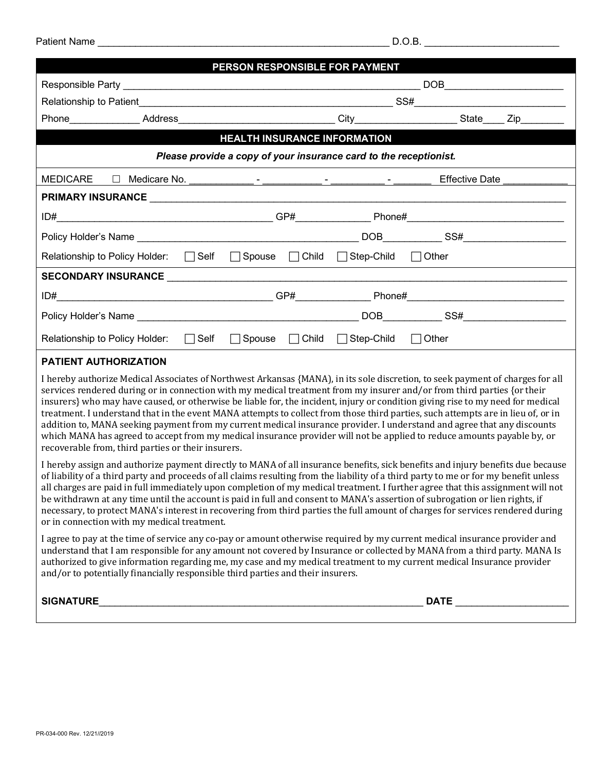|                                                                     | D.O.B.                                                                |  |  |  |  |
|---------------------------------------------------------------------|-----------------------------------------------------------------------|--|--|--|--|
|                                                                     |                                                                       |  |  |  |  |
|                                                                     |                                                                       |  |  |  |  |
|                                                                     |                                                                       |  |  |  |  |
|                                                                     |                                                                       |  |  |  |  |
|                                                                     |                                                                       |  |  |  |  |
| Please provide a copy of your insurance card to the receptionist.   |                                                                       |  |  |  |  |
|                                                                     |                                                                       |  |  |  |  |
|                                                                     |                                                                       |  |  |  |  |
|                                                                     |                                                                       |  |  |  |  |
|                                                                     |                                                                       |  |  |  |  |
| Relationship to Policy Holder: Self Spouse Child Step-Child Chier   |                                                                       |  |  |  |  |
|                                                                     |                                                                       |  |  |  |  |
|                                                                     |                                                                       |  |  |  |  |
|                                                                     |                                                                       |  |  |  |  |
| Relationship to Policy Holder: □ Self □ Spouse □ Child □ Step-Child | $\Box$ Other                                                          |  |  |  |  |
|                                                                     | PERSON RESPONSIBLE FOR PAYMENT<br><b>HEALTH INSURANCE INFORMATION</b> |  |  |  |  |

### **PATIENT AUTHORIZATION**

I hereby authorize Medical Associates of Northwest Arkansas {MANA), in its sole discretion, to seek payment of charges for all services rendered during or in connection with my medical treatment from my insurer and/or from third parties {or their insurers} who may have caused, or otherwise be liable for, the incident, injury or condition giving rise to my need for medical treatment. I understand that in the event MANA attempts to collect from those third parties, such attempts are in lieu of, or in addition to, MANA seeking payment from my current medical insurance provider. I understand and agree that any discounts which MANA has agreed to accept from my medical insurance provider will not be applied to reduce amounts payable by, or recoverable from, third parties or their insurers.

I hereby assign and authorize payment directly to MANA of all insurance benefits, sick benefits and injury benefits due because of liability of a third party and proceeds of all claims resulting from the liability of a third party to me or for my benefit unless all charges are paid in full immediately upon completion of my medical treatment. I further agree that this assignment will not be withdrawn at any time until the account is paid in full and consent to MANA's assertion of subrogation or lien rights, if necessary, to protect MANA's interest in recovering from third parties the full amount of charges for services rendered during or in connection with my medical treatment.

I agree to pay at the time of service any co-pay or amount otherwise required by my current medical insurance provider and understand that I am responsible for any amount not covered by Insurance or collected by MANA from a third party. MANA Is authorized to give information regarding me, my case and my medical treatment to my current medical Insurance provider and/or to potentially financially responsible third parties and their insurers.

**SIGNATURE**\_\_\_\_\_\_\_\_\_\_\_\_\_\_\_\_\_\_\_\_\_\_\_\_\_\_\_\_\_\_\_\_\_\_\_\_\_\_\_\_\_\_\_\_\_\_\_\_\_\_\_\_\_\_\_\_\_\_\_\_ **DATE** \_\_\_\_\_\_\_\_\_\_\_\_\_\_\_\_\_\_\_\_\_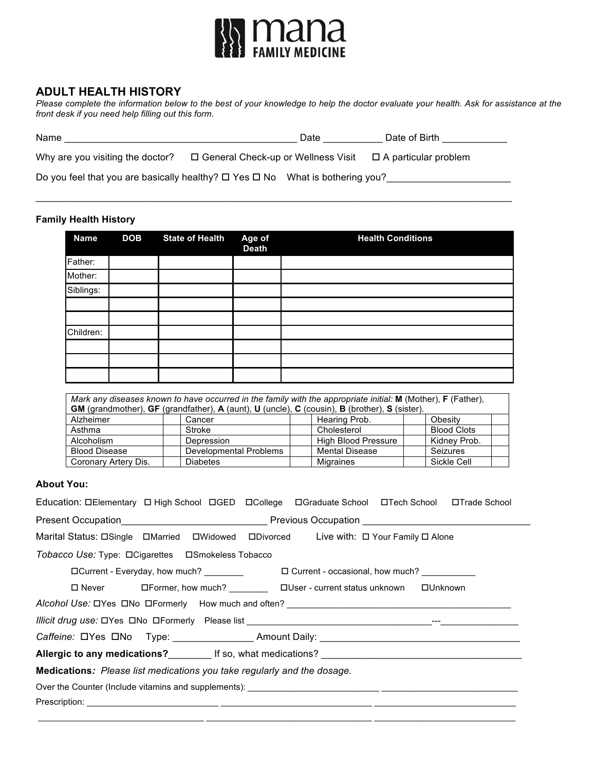

## **ADULT HEALTH HISTORY**

*Please complete the information below to the best of your knowledge to help the doctor evaluate your health. Ask for assistance at the front desk if you need help filling out this form.*

| Name                             | Date                                                                                          | Date of Birth |
|----------------------------------|-----------------------------------------------------------------------------------------------|---------------|
| Why are you visiting the doctor? | □ General Check-up or Wellness Visit □ A particular problem                                   |               |
|                                  | Do you feel that you are basically healthy? $\square$ Yes $\square$ No What is bothering you? |               |

 $\mathcal{L}_\mathcal{L} = \mathcal{L}_\mathcal{L} = \mathcal{L}_\mathcal{L} = \mathcal{L}_\mathcal{L} = \mathcal{L}_\mathcal{L} = \mathcal{L}_\mathcal{L} = \mathcal{L}_\mathcal{L} = \mathcal{L}_\mathcal{L} = \mathcal{L}_\mathcal{L} = \mathcal{L}_\mathcal{L} = \mathcal{L}_\mathcal{L} = \mathcal{L}_\mathcal{L} = \mathcal{L}_\mathcal{L} = \mathcal{L}_\mathcal{L} = \mathcal{L}_\mathcal{L} = \mathcal{L}_\mathcal{L} = \mathcal{L}_\mathcal{L}$ 

### **Family Health History**

| <b>Name</b> | <b>DOB</b> | <b>State of Health</b> | Age of<br>Death | <b>Health Conditions</b> |
|-------------|------------|------------------------|-----------------|--------------------------|
| Father:     |            |                        |                 |                          |
| Mother:     |            |                        |                 |                          |
| Siblings:   |            |                        |                 |                          |
|             |            |                        |                 |                          |
|             |            |                        |                 |                          |
| Children:   |            |                        |                 |                          |
|             |            |                        |                 |                          |
|             |            |                        |                 |                          |
|             |            |                        |                 |                          |

| Mark any diseases known to have occurred in the family with the appropriate initial: M (Mother), F (Father), |                        |                            |                    |  |  |
|--------------------------------------------------------------------------------------------------------------|------------------------|----------------------------|--------------------|--|--|
| GM (grandmother), GF (grandfather), A (aunt), U (uncle), C (cousin), B (brother), S (sister).                |                        |                            |                    |  |  |
| Alzheimer                                                                                                    | Cancer                 | Hearing Prob.              | Obesity            |  |  |
| Asthma                                                                                                       | Stroke                 | Cholesterol                | <b>Blood Clots</b> |  |  |
| Alcoholism                                                                                                   | Depression             | <b>High Blood Pressure</b> | Kidney Prob.       |  |  |
| <b>Blood Disease</b>                                                                                         | Developmental Problems | <b>Mental Disease</b>      | <b>Seizures</b>    |  |  |
| Sickle Cell<br>Coronary Artery Dis.<br><b>Migraines</b><br><b>Diabetes</b>                                   |                        |                            |                    |  |  |

### **About You:**

| Education: DElementary D High School DGED DCollege DGraduate School DTech School DTrade School                                                                                                                                 |  |  |  |  |  |
|--------------------------------------------------------------------------------------------------------------------------------------------------------------------------------------------------------------------------------|--|--|--|--|--|
|                                                                                                                                                                                                                                |  |  |  |  |  |
| Marital Status: DSingle DMarried DWidowed DDivorced Live with: D Your Family D Alone                                                                                                                                           |  |  |  |  |  |
| Tobacco Use: Type: □ Cigarettes □ Smokeless Tobacco                                                                                                                                                                            |  |  |  |  |  |
|                                                                                                                                                                                                                                |  |  |  |  |  |
| □ Never     □ Former, how much? __________  □ User - current status unknown   □ Unknown                                                                                                                                        |  |  |  |  |  |
|                                                                                                                                                                                                                                |  |  |  |  |  |
|                                                                                                                                                                                                                                |  |  |  |  |  |
|                                                                                                                                                                                                                                |  |  |  |  |  |
| Allergic to any medications? The solution of the state of the state of the state of the state of the state of the state of the state of the state of the state of the state of the state of the state of the state of the stat |  |  |  |  |  |
| Medications: Please list medications you take regularly and the dosage.                                                                                                                                                        |  |  |  |  |  |
|                                                                                                                                                                                                                                |  |  |  |  |  |
|                                                                                                                                                                                                                                |  |  |  |  |  |
|                                                                                                                                                                                                                                |  |  |  |  |  |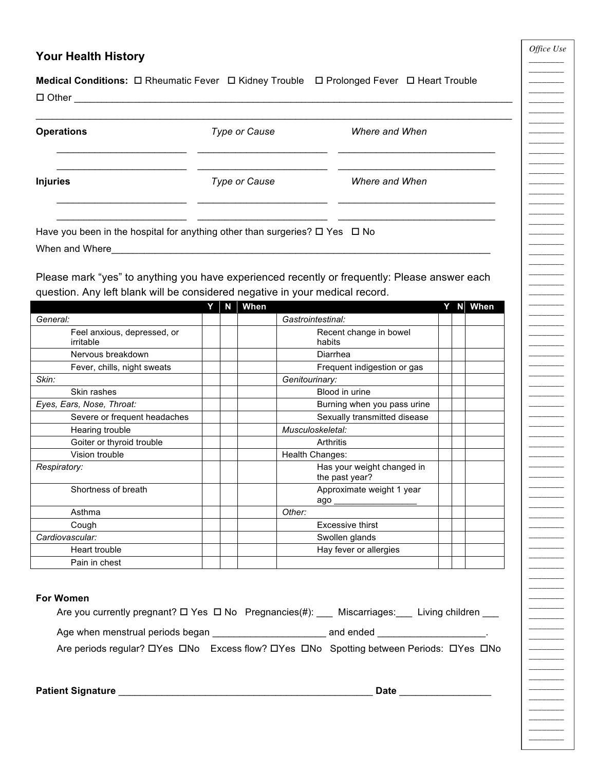# **Your Health History**

**Medical Conditions:** □ Rheumatic Fever □ Kidney Trouble □ Prolonged Fever □ Heart Trouble  $\Box$  Other  $\Box$ 

| <b>Operations</b> | Type or Cause | Where and When |
|-------------------|---------------|----------------|
| <b>Injuries</b>   | Type or Cause | Where and When |
|                   |               |                |

When and Where\_\_\_\_\_\_\_\_\_\_\_\_\_\_\_\_\_\_\_\_\_\_\_\_\_\_\_\_\_\_\_\_\_\_\_\_\_\_\_\_\_\_\_\_\_\_\_\_\_\_\_\_\_\_\_\_\_\_\_\_\_\_\_\_\_\_\_\_\_\_

Please mark "yes" to anything you have experienced recently or frequently: Please answer each question. Any left blank will be considered negative in your medical record.

|                                          | N | When |                                              | N | When |
|------------------------------------------|---|------|----------------------------------------------|---|------|
| General:                                 |   |      | Gastrointestinal:                            |   |      |
| Feel anxious, depressed, or<br>irritable |   |      | Recent change in bowel<br>habits             |   |      |
| Nervous breakdown                        |   |      | Diarrhea                                     |   |      |
| Fever, chills, night sweats              |   |      | Frequent indigestion or gas                  |   |      |
| Skin:                                    |   |      | Genitourinary:                               |   |      |
| Skin rashes                              |   |      | Blood in urine                               |   |      |
| Eyes, Ears, Nose, Throat:                |   |      | Burning when you pass urine                  |   |      |
| Severe or frequent headaches             |   |      | Sexually transmitted disease                 |   |      |
| Hearing trouble                          |   |      | Musculoskeletal:                             |   |      |
| Goiter or thyroid trouble                |   |      | Arthritis                                    |   |      |
| Vision trouble                           |   |      | Health Changes:                              |   |      |
| Respiratory:                             |   |      | Has your weight changed in<br>the past year? |   |      |
| Shortness of breath                      |   |      | Approximate weight 1 year<br>ago             |   |      |
| Asthma                                   |   |      | Other:                                       |   |      |
| Cough                                    |   |      | Excessive thirst                             |   |      |
| Cardiovascular:                          |   |      | Swollen glands                               |   |      |
| Heart trouble                            |   |      | Hay fever or allergies                       |   |      |
| Pain in chest                            |   |      |                                              |   |      |

#### **For Women**

| Are you currently pregnant? $\Box$ Yes $\Box$ No Pregnancies(#):                       | Miscarriages: | Living children |
|----------------------------------------------------------------------------------------|---------------|-----------------|
| Age when menstrual periods began                                                       | and ended     |                 |
| Are periods regular? DYes DNo Excess flow? DYes DNo Spotting between Periods: DYes DNo |               |                 |

**Patient Signature** \_\_\_\_\_\_\_\_\_\_\_\_\_\_\_\_\_\_\_\_\_\_\_\_\_\_\_\_\_\_\_\_\_\_\_\_\_\_\_\_\_\_\_\_\_\_\_ **Date** \_\_\_\_\_\_\_\_\_\_\_\_\_\_\_\_\_

*Office Use*  $\overline{\phantom{a}}$  $\overline{\phantom{a}}$  $\overline{\phantom{a}}$ \_\_\_\_\_\_\_\_  $\overline{\phantom{a}}$  $\overline{\phantom{a}}$ \_\_\_\_\_\_\_\_  $\overline{\phantom{a}}$  $\overline{\phantom{a}}$  $\overline{\phantom{a}}$  $\overline{\phantom{a}}$  $\overline{\phantom{a}}$  $\overline{\phantom{a}}$ \_\_\_\_\_\_\_\_  $\overline{\phantom{a}}$  $\overline{\phantom{a}}$  $\overline{\phantom{a}}$  $\overline{\phantom{a}}$ \_\_\_\_\_\_\_\_  $\overline{\phantom{a}}$ \_\_\_\_\_\_\_\_  $\overline{\phantom{a}}$  $\overline{\phantom{a}}$  $\overline{\phantom{a}}$  $\overline{\phantom{a}}$ \_\_\_\_\_\_\_\_ \_\_\_\_\_\_\_\_  $\overline{\phantom{a}}$ \_\_\_\_\_\_\_\_  $\overline{\phantom{a}}$ \_\_\_\_\_\_\_\_  $\overline{\phantom{a}}$  $\overline{\phantom{a}}$  $\overline{\phantom{a}}$  $\overline{\phantom{a}}$ \_\_\_\_\_\_\_\_  $\overline{\phantom{a}}$ \_\_\_\_\_\_\_\_  $\overline{\phantom{a}}$  $\overline{\phantom{a}}$  $\overline{\phantom{a}}$  $\overline{\phantom{a}}$  $\overline{\phantom{a}}$  $\overline{\phantom{a}}$ \_\_\_\_\_\_\_\_ \_\_\_\_\_\_\_\_  $\overline{\phantom{a}}$ \_\_\_\_\_\_\_\_  $\overline{\phantom{a}}$  $\overline{\phantom{a}}$  $\overline{\phantom{a}}$  $\overline{\phantom{a}}$ \_\_\_\_\_\_\_\_  $\overline{\phantom{a}}$ \_\_\_\_\_\_\_\_  $\overline{\phantom{a}}$  $\overline{\phantom{a}}$  $\overline{\phantom{a}}$  $\overline{\phantom{a}}$ \_\_\_\_\_\_\_\_  $\overline{\phantom{a}}$  $\overline{\phantom{a}}$ \_\_\_\_\_\_\_\_  $\overline{\phantom{a}}$  $\overline{\phantom{a}}$  $\overline{\phantom{a}}$  $\overline{\phantom{a}}$  $\overline{\phantom{a}}$  $\overline{\phantom{a}}$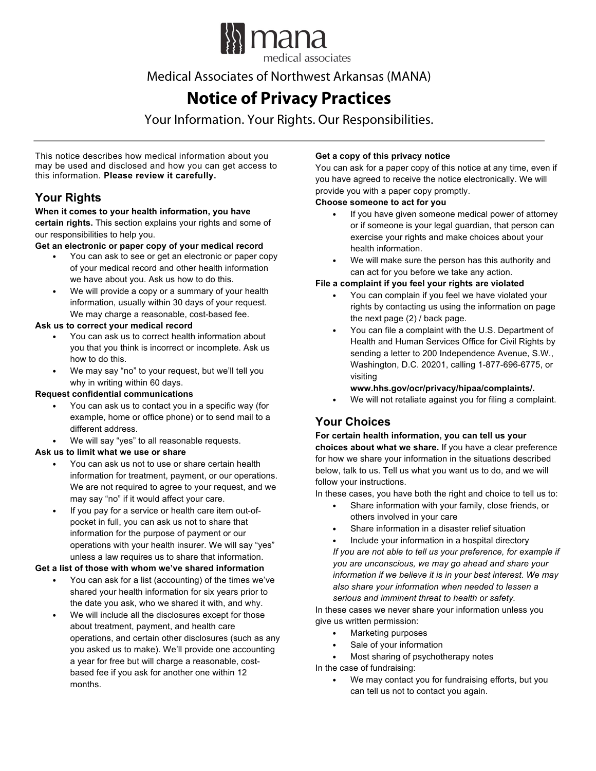

medical associates

Medical Associates of Northwest Arkansas (MANA)

# **Notice of Privacy Practices**

Your Information. Your Rights. Our Responsibilities.

This notice describes how medical information about you may be used and disclosed and how you can get access to this information. **Please review it carefully.**

# **Your Rights**

#### **When it comes to your health information, you have**

**certain rights.** This section explains your rights and some of our responsibilities to help you.

#### **Get an electronic or paper copy of your medical record**

- You can ask to see or get an electronic or paper copy of your medical record and other health information we have about you. Ask us how to do this.
- We will provide a copy or a summary of your health information, usually within 30 days of your request. We may charge a reasonable, cost-based fee.

#### **Ask us to correct your medical record**

- You can ask us to correct health information about you that you think is incorrect or incomplete. Ask us how to do this.
- We may say "no" to your request, but we'll tell you why in writing within 60 days.

### **Request confidential communications**

- You can ask us to contact you in a specific way (for example, home or office phone) or to send mail to a different address.
- We will say "yes" to all reasonable requests.

### **Ask us to limit what we use or share**

- You can ask us not to use or share certain health information for treatment, payment, or our operations. We are not required to agree to your request, and we may say "no" if it would affect your care.
- If you pay for a service or health care item out-ofpocket in full, you can ask us not to share that information for the purpose of payment or our operations with your health insurer. We will say "yes" unless a law requires us to share that information.

#### **Get a list of those with whom we've shared information**

- You can ask for a list (accounting) of the times we've shared your health information for six years prior to the date you ask, who we shared it with, and why.
- We will include all the disclosures except for those about treatment, payment, and health care operations, and certain other disclosures (such as any you asked us to make). We'll provide one accounting a year for free but will charge a reasonable, costbased fee if you ask for another one within 12 months.

#### **Get a copy of this privacy notice**

You can ask for a paper copy of this notice at any time, even if you have agreed to receive the notice electronically. We will provide you with a paper copy promptly.

#### **Choose someone to act for you**

- If you have given someone medical power of attorney or if someone is your legal guardian, that person can exercise your rights and make choices about your health information.
- We will make sure the person has this authority and can act for you before we take any action.

#### **File a complaint if you feel your rights are violated**

- You can complain if you feel we have violated your rights by contacting us using the information on page the next page (2) / back page.
- You can file a complaint with the U.S. Department of Health and Human Services Office for Civil Rights by sending a letter to 200 Independence Avenue, S.W., Washington, D.C. 20201, calling 1-877-696-6775, or visiting

**www.hhs.gov/ocr/privacy/hipaa/complaints/.**

• We will not retaliate against you for filing a complaint.

# **Your Choices**

#### **For certain health information, you can tell us your**

**choices about what we share.** If you have a clear preference for how we share your information in the situations described below, talk to us. Tell us what you want us to do, and we will follow your instructions.

In these cases, you have both the right and choice to tell us to:

- Share information with your family, close friends, or others involved in your care
- Share information in a disaster relief situation
- Include your information in a hospital directory

*If you are not able to tell us your preference, for example if you are unconscious, we may go ahead and share your information if we believe it is in your best interest. We may also share your information when needed to lessen a serious and imminent threat to health or safety.*

In these cases we never share your information unless you give us written permission:

- Marketing purposes
- Sale of your information

• Most sharing of psychotherapy notes In the case of fundraising:

We may contact you for fundraising efforts, but you can tell us not to contact you again.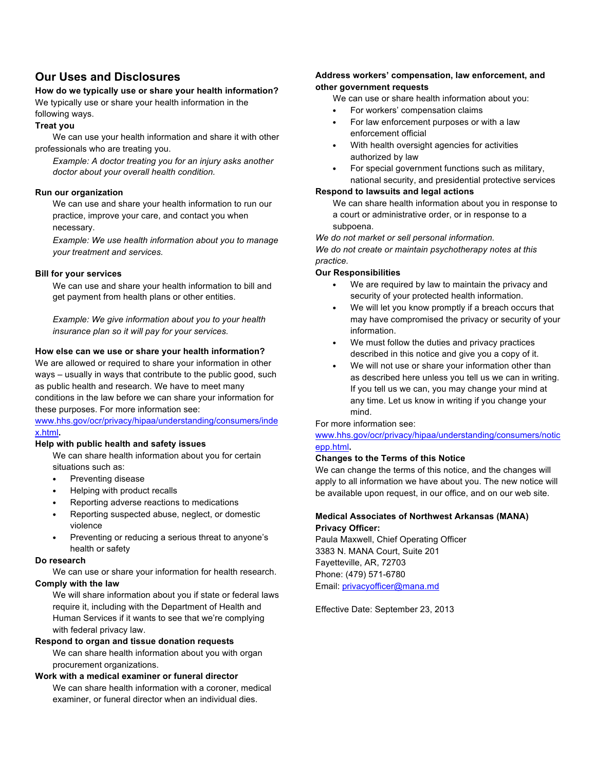## **Our Uses and Disclosures**

### **How do we typically use or share your health information?**

We typically use or share your health information in the following ways.

### **Treat you**

We can use your health information and share it with other professionals who are treating you.

*Example: A doctor treating you for an injury asks another doctor about your overall health condition.*

### **Run our organization**

We can use and share your health information to run our practice, improve your care, and contact you when necessary.

*Example: We use health information about you to manage your treatment and services.* 

### **Bill for your services**

We can use and share your health information to bill and get payment from health plans or other entities.

*Example: We give information about you to your health insurance plan so it will pay for your services.* 

### **How else can we use or share your health information?**

We are allowed or required to share your information in other ways – usually in ways that contribute to the public good, such as public health and research. We have to meet many conditions in the law before we can share your information for these purposes. For more information see:

#### www.hhs.gov/ocr/privacy/hipaa/understanding/consumers/inde x.html**.**

### **Help with public health and safety issues**

We can share health information about you for certain situations such as:

- Preventing disease
- Helping with product recalls
- Reporting adverse reactions to medications
- Reporting suspected abuse, neglect, or domestic violence
- Preventing or reducing a serious threat to anyone's health or safety

### **Do research**

We can use or share your information for health research. **Comply with the law**

We will share information about you if state or federal laws require it, including with the Department of Health and Human Services if it wants to see that we're complying with federal privacy law.

### **Respond to organ and tissue donation requests**

We can share health information about you with organ procurement organizations.

#### **Work with a medical examiner or funeral director** We can share health information with a coroner, medical examiner, or funeral director when an individual dies.

### **Address workers' compensation, law enforcement, and other government requests**

We can use or share health information about you:

- For workers' compensation claims
- For law enforcement purposes or with a law enforcement official
- With health oversight agencies for activities authorized by law
- For special government functions such as military, national security, and presidential protective services

### **Respond to lawsuits and legal actions**

We can share health information about you in response to a court or administrative order, or in response to a subpoena.

*We do not market or sell personal information.* 

*We do not create or maintain psychotherapy notes at this practice.* 

### **Our Responsibilities**

- We are required by law to maintain the privacy and security of your protected health information.
- We will let you know promptly if a breach occurs that may have compromised the privacy or security of your information.
- We must follow the duties and privacy practices described in this notice and give you a copy of it.
- We will not use or share your information other than as described here unless you tell us we can in writing. If you tell us we can, you may change your mind at any time. Let us know in writing if you change your mind.

### For more information see:

#### www.hhs.gov/ocr/privacy/hipaa/understanding/consumers/notic epp.html**.**

### **Changes to the Terms of this Notice**

We can change the terms of this notice, and the changes will apply to all information we have about you. The new notice will be available upon request, in our office, and on our web site.

#### **Medical Associates of Northwest Arkansas (MANA) Privacy Officer:**

Paula Maxwell, Chief Operating Officer 3383 N. MANA Court, Suite 201 Fayetteville, AR, 72703 Phone: (479) 571-6780 Email: privacyofficer@mana.md

Effective Date: September 23, 2013